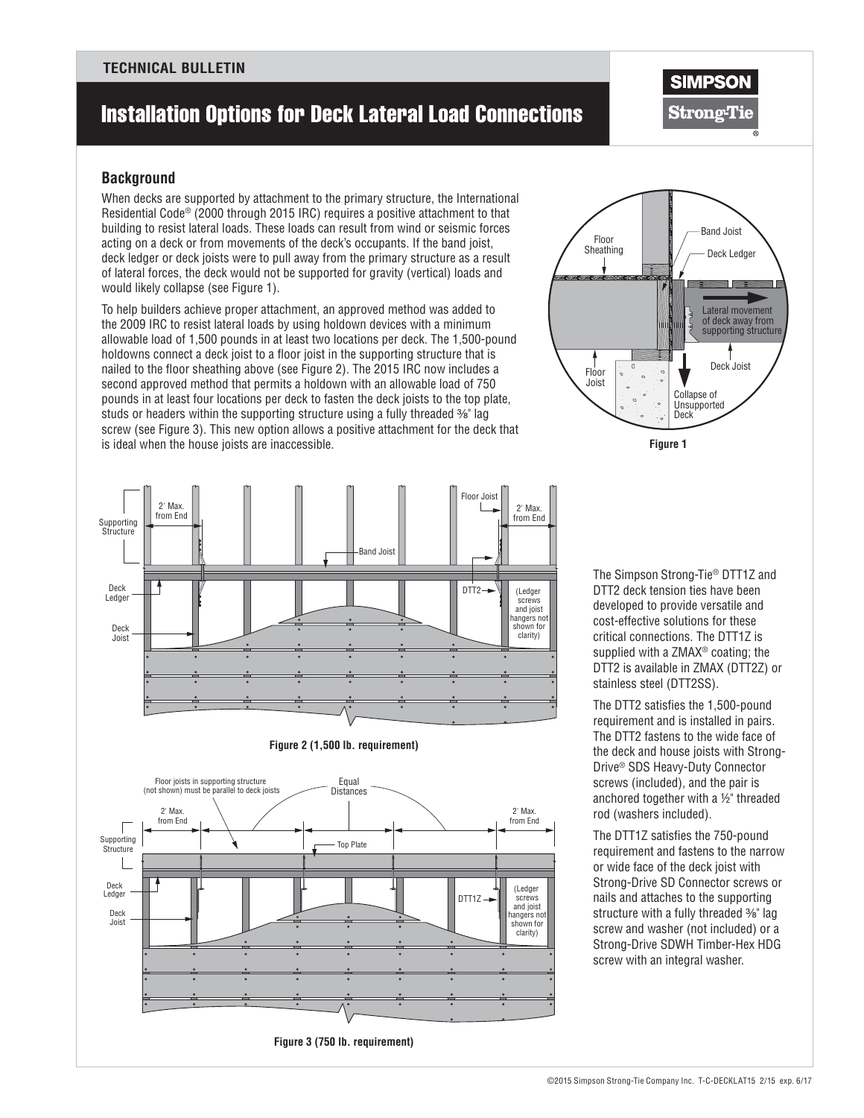**SIMPSON Strong-Tie** 

### **Background**

When decks are supported by attachment to the primary structure, the International Residential Code® (2000 through 2015 IRC) requires a positive attachment to that building to resist lateral loads. These loads can result from wind or seismic forces acting on a deck or from movements of the deck's occupants. If the band joist, deck ledger or deck joists were to pull away from the primary structure as a result of lateral forces, the deck would not be supported for gravity (vertical) loads and would likely collapse (see Figure 1).

To help builders achieve proper attachment, an approved method was added to the 2009 IRC to resist lateral loads by using holdown devices with a minimum allowable load of 1,500 pounds in at least two locations per deck. The 1,500-pound holdowns connect a deck joist to a floor joist in the supporting structure that is nailed to the floor sheathing above (see Figure 2). The 2015 IRC now includes a second approved method that permits a holdown with an allowable load of 750 pounds in at least four locations per deck to fasten the deck joists to the top plate, studs or headers within the supporting structure using a fully threaded <sup>3/8</sup> lag screw (see Figure 3). This new option allows a positive attachment for the deck that is ideal when the house joists are inaccessible. **Figure 1**





**Figure 2 (1,500 lb. requirement)**



The Simpson Strong-Tie® DTT1Z and DTT2 deck tension ties have been developed to provide versatile and cost-effective solutions for these critical connections. The DTT1Z is supplied with a ZMAX® coating; the DTT2 is available in ZMAX (DTT2Z) or stainless steel (DTT2SS).

The DTT2 satisfies the 1,500-pound requirement and is installed in pairs. The DTT2 fastens to the wide face of the deck and house joists with Strong-Drive® SDS Heavy-Duty Connector screws (included), and the pair is anchored together with a ½" threaded rod (washers included).

The DTT1Z satisfies the 750-pound requirement and fastens to the narrow or wide face of the deck joist with Strong-Drive SD Connector screws or nails and attaches to the supporting structure with a fully threaded <sup>3</sup>/<sub>8</sub>" lag screw and washer (not included) or a Strong-Drive SDWH Timber-Hex HDG screw with an integral washer.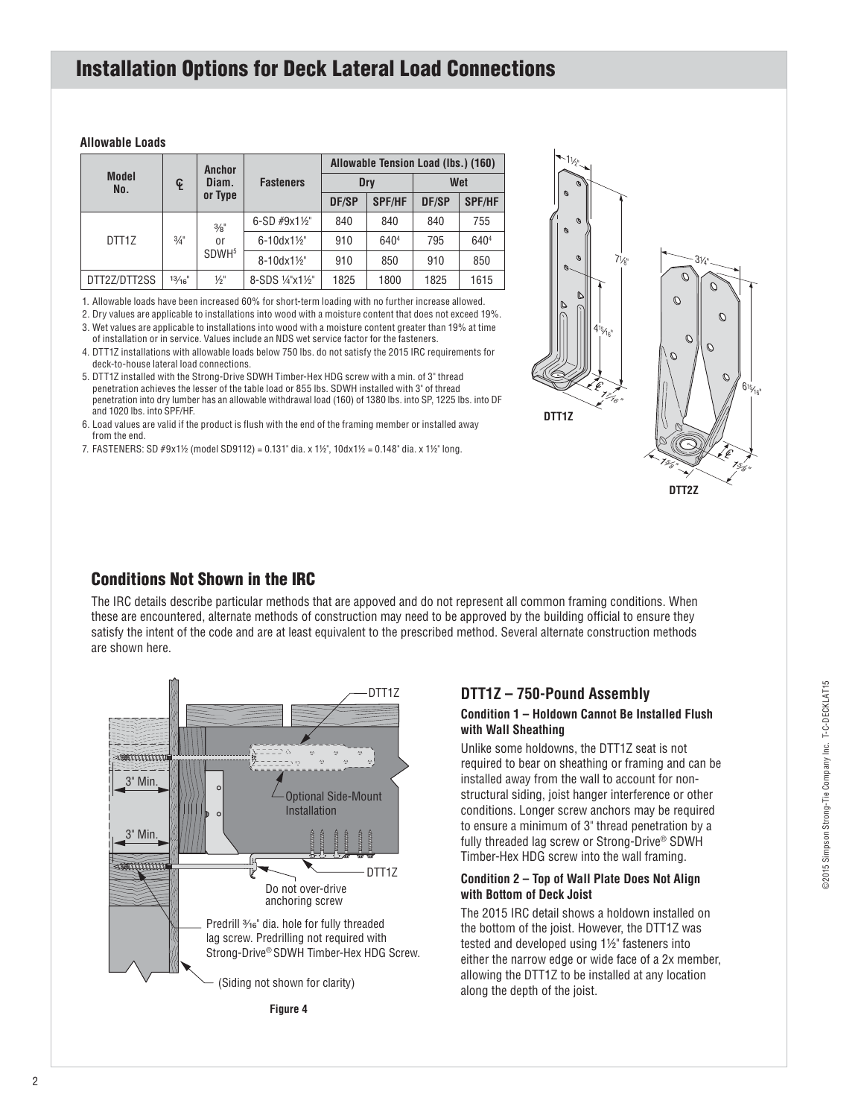#### **Allowable Loads**

| Model<br>No. | ¢               | <b>Anchor</b><br>Diam.<br>or Type | <b>Fasteners</b>       | Allowable Tension Load (lbs.) (160) |               |       |                  |
|--------------|-----------------|-----------------------------------|------------------------|-------------------------------------|---------------|-------|------------------|
|              |                 |                                   |                        | Drv                                 |               | Wet   |                  |
|              |                 |                                   |                        | DF/SP                               | <b>SPF/HF</b> | DF/SP | <b>SPF/HF</b>    |
| DTT1Z        | $\frac{3}{4}$ " | 3/8"<br>0r<br>SDWH <sup>5</sup>   | 6-SD $#9x1\frac{1}{2}$ | 840                                 | 840           | 840   | 755              |
|              |                 |                                   | $6 - 10dx1\frac{1}{2}$ | 910                                 | 6404          | 795   | 640 <sup>4</sup> |
|              |                 |                                   | $8 - 10dx1\frac{1}{2}$ | 910                                 | 850           | 910   | 850              |
| DTT2Z/DTT2SS | 13/16"          | $\frac{1}{2}$ "                   | 8-SDS 1/4"x11/2"       | 1825                                | 1800          | 1825  | 1615             |

1. Allowable loads have been increased 60% for short-term loading with no further increase allowed.

2. Dry values are applicable to installations into wood with a moisture content that does not exceed 19%.

3. Wet values are applicable to installations into wood with a moisture content greater than 19% at time of installation or in service. Values include an NDS wet service factor for the fasteners.

4. DTT1Z installations with allowable loads below 750 lbs. do not satisfy the 2015 IRC requirements for deck-to-house lateral load connections.

5. DTT1Z installed with the Strong-Drive SDWH Timber-Hex HDG screw with a min. of 3" thread penetration achieves the lesser of the table load or 855 lbs. SDWH installed with 3" of thread penetration into dry lumber has an allowable withdrawal load (160) of 1380 lbs. into SP, 1225 lbs. into DF and 1020 lbs. into SPF/HF.

6. Load values are valid if the product is flush with the end of the framing member or installed away from the end.

7. FASTENERS: SD #9x1½ (model SD9112) = 0.131" dia. x 1½", 10dx1½ = 0.148" dia. x 1½" long.





## Conditions Not Shown in the IRC

The IRC details describe particular methods that are appoved and do not represent all common framing conditions. When these are encountered, alternate methods of construction may need to be approved by the building official to ensure they satisfy the intent of the code and are at least equivalent to the prescribed method. Several alternate construction methods are shown here.



### **DTT1Z – 750-Pound Assembly**

#### **Condition 1 – Holdown Cannot Be Installed Flush with Wall Sheathing**

Unlike some holdowns, the DTT1Z seat is not required to bear on sheathing or framing and can be installed away from the wall to account for nonstructural siding, joist hanger interference or other conditions. Longer screw anchors may be required to ensure a minimum of 3" thread penetration by a fully threaded lag screw or Strong-Drive® SDWH Timber-Hex HDG screw into the wall framing.

#### **Condition 2 – Top of Wall Plate Does Not Align with Bottom of Deck Joist**

The 2015 IRC detail shows a holdown installed on the bottom of the joist. However, the DTT1Z was tested and developed using 1½" fasteners into either the narrow edge or wide face of a 2x member, allowing the DTT1Z to be installed at any location along the depth of the joist.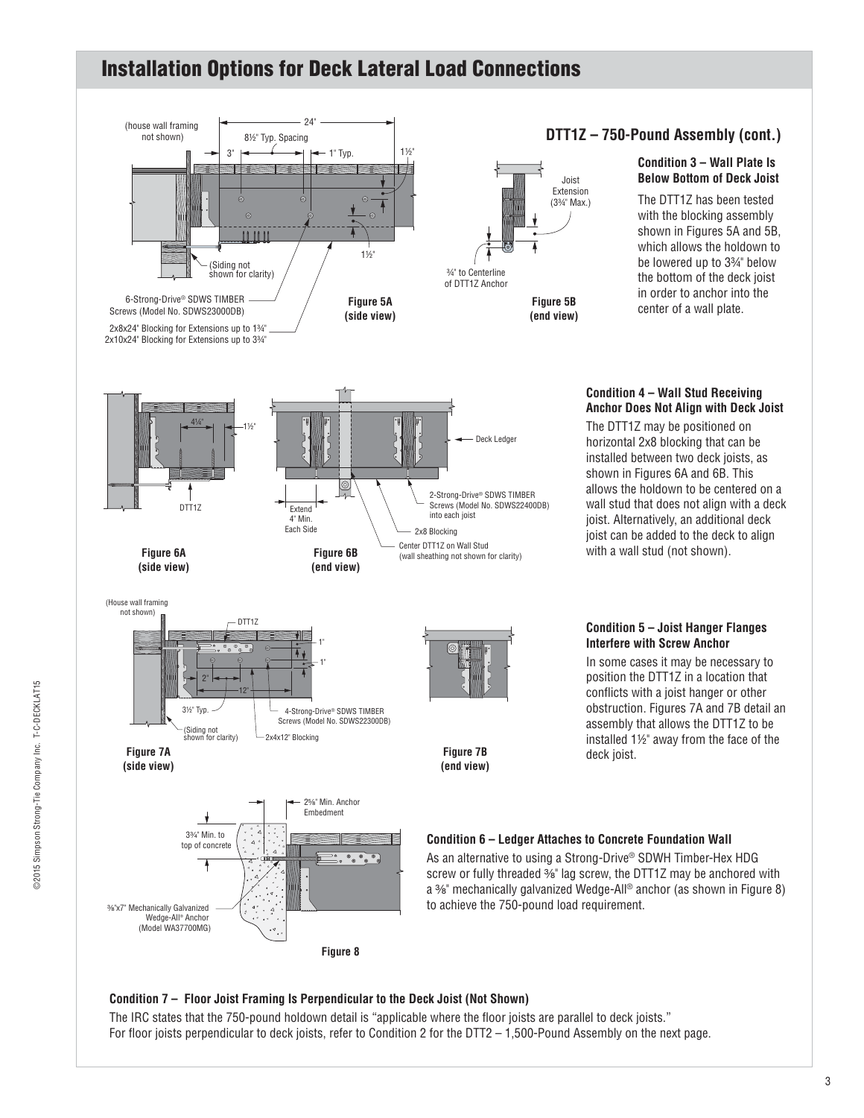

#### **Condition 7 – Floor Joist Framing Is Perpendicular to the Deck Joist (Not Shown)**

The IRC states that the 750-pound holdown detail is "applicable where the floor joists are parallel to deck joists." For floor joists perpendicular to deck joists, refer to Condition 2 for the DTT2 – 1,500-Pound Assembly on the next page.